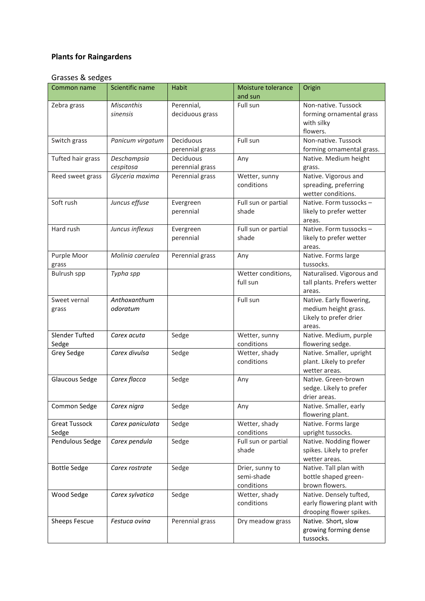## **Plants for Raingardens**

## Grasses & sedges

| Common name                   | Scientific name               | <b>Habit</b>                  | Moisture tolerance<br>and sun               | Origin                                                                               |
|-------------------------------|-------------------------------|-------------------------------|---------------------------------------------|--------------------------------------------------------------------------------------|
| Zebra grass                   | <b>Miscanthis</b><br>sinensis | Perennial,<br>deciduous grass | Full sun                                    | Non-native. Tussock<br>forming ornamental grass<br>with silky<br>flowers.            |
| Switch grass                  | Panicum virgatum              | Deciduous<br>perennial grass  | Full sun                                    | Non-native. Tussock<br>forming ornamental grass.                                     |
| Tufted hair grass             | Deschampsia<br>cespitosa      | Deciduous<br>perennial grass  | Any                                         | Native. Medium height<br>grass.                                                      |
| Reed sweet grass              | Glyceria maxima               | Perennial grass               | Wetter, sunny<br>conditions                 | Native. Vigorous and<br>spreading, preferring<br>wetter conditions.                  |
| Soft rush                     | Juncus effuse                 | Evergreen<br>perennial        | Full sun or partial<br>shade                | Native. Form tussocks -<br>likely to prefer wetter<br>areas.                         |
| Hard rush                     | Juncus inflexus               | Evergreen<br>perennial        | Full sun or partial<br>shade                | Native. Form tussocks -<br>likely to prefer wetter<br>areas.                         |
| Purple Moor<br>grass          | Molinia caerulea              | Perennial grass               | Any                                         | Native. Forms large<br>tussocks.                                                     |
| Bulrush spp                   | Typha spp                     |                               | Wetter conditions,<br>full sun              | Naturalised. Vigorous and<br>tall plants. Prefers wetter<br>areas.                   |
| Sweet vernal<br>grass         | Anthoxanthum<br>odoratum      |                               | Full sun                                    | Native. Early flowering,<br>medium height grass.<br>Likely to prefer drier<br>areas. |
| Slender Tufted<br>Sedge       | Carex acuta                   | Sedge                         | Wetter, sunny<br>conditions                 | Native. Medium, purple<br>flowering sedge.                                           |
| Grey Sedge                    | Carex divulsa                 | Sedge                         | Wetter, shady<br>conditions                 | Native. Smaller, upright<br>plant. Likely to prefer<br>wetter areas.                 |
| Glaucous Sedge                | Carex flacca                  | Sedge                         | Any                                         | Native. Green-brown<br>sedge. Likely to prefer<br>drier areas.                       |
| Common Sedge                  | Carex nigra                   | Sedge                         | Any                                         | Native. Smaller, early<br>flowering plant.                                           |
| <b>Great Tussock</b><br>Sedge | Carex paniculata              | Sedge                         | Wetter, shady<br>conditions                 | Native. Forms large<br>upright tussocks.                                             |
| Pendulous Sedge               | Carex pendula                 | Sedge                         | Full sun or partial<br>shade                | Native. Nodding flower<br>spikes. Likely to prefer<br>wetter areas.                  |
| <b>Bottle Sedge</b>           | Carex rostrate                | Sedge                         | Drier, sunny to<br>semi-shade<br>conditions | Native. Tall plan with<br>bottle shaped green-<br>brown flowers.                     |
| Wood Sedge                    | Carex sylvatica               | Sedge                         | Wetter, shady<br>conditions                 | Native. Densely tufted,<br>early flowering plant with<br>drooping flower spikes.     |
| <b>Sheeps Fescue</b>          | Festuca ovina                 | Perennial grass               | Dry meadow grass                            | Native. Short, slow<br>growing forming dense<br>tussocks.                            |